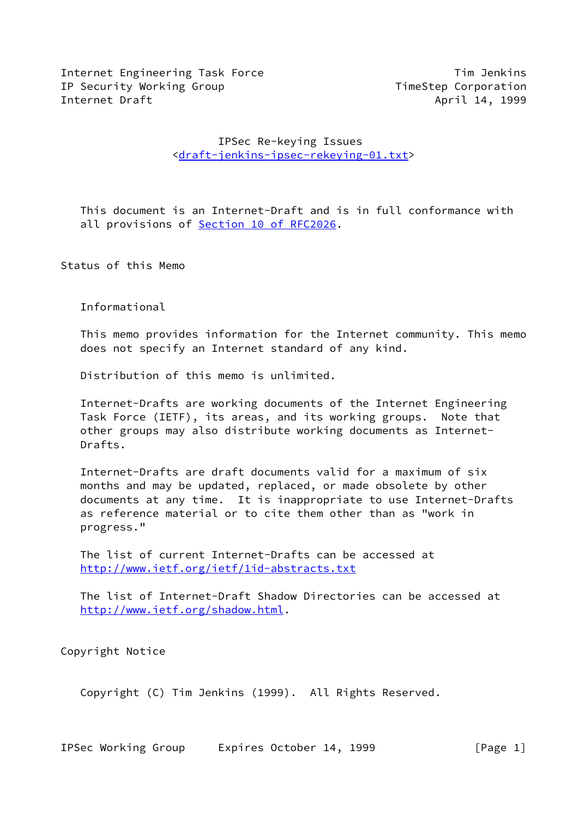Internet Engineering Task Force The Communication of Tim Jenkins IP Security Working Group TimeStep Corporation Internet Draft April 14, 1999

# IPSec Re-keying Issues <[draft-jenkins-ipsec-rekeying-01.txt](https://datatracker.ietf.org/doc/pdf/draft-jenkins-ipsec-rekeying-01.txt)>

 This document is an Internet-Draft and is in full conformance with all provisions of **Section [10 of RFC2026.](https://datatracker.ietf.org/doc/pdf/rfc2026#section-10)** 

Status of this Memo

Informational

 This memo provides information for the Internet community. This memo does not specify an Internet standard of any kind.

Distribution of this memo is unlimited.

 Internet-Drafts are working documents of the Internet Engineering Task Force (IETF), its areas, and its working groups. Note that other groups may also distribute working documents as Internet- Drafts.

 Internet-Drafts are draft documents valid for a maximum of six months and may be updated, replaced, or made obsolete by other documents at any time. It is inappropriate to use Internet-Drafts as reference material or to cite them other than as "work in progress."

 The list of current Internet-Drafts can be accessed at <http://www.ietf.org/ietf/1id-abstracts.txt>

 The list of Internet-Draft Shadow Directories can be accessed at <http://www.ietf.org/shadow.html>.

Copyright Notice

Copyright (C) Tim Jenkins (1999). All Rights Reserved.

IPSec Working Group Expires October 14, 1999 [Page 1]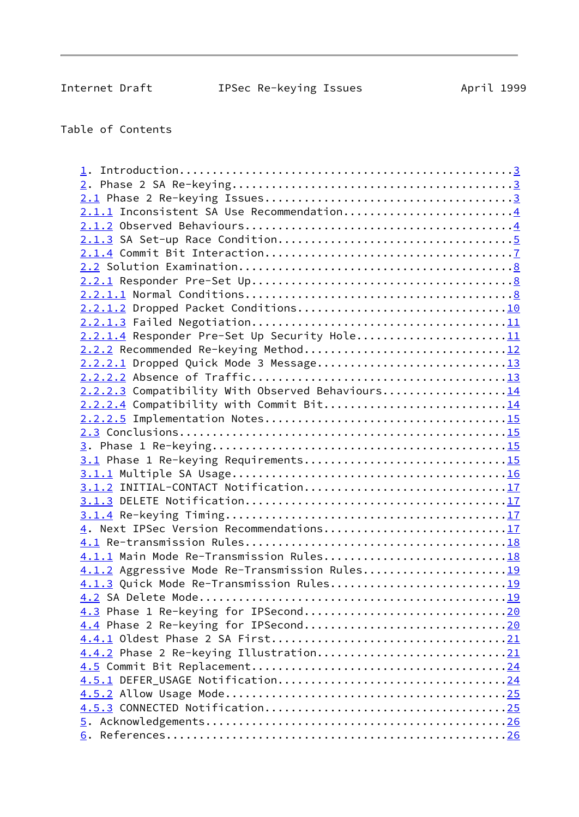Table of Contents

| 2.1.1 Inconsistent SA Use Recommendation4        |  |
|--------------------------------------------------|--|
|                                                  |  |
|                                                  |  |
|                                                  |  |
|                                                  |  |
|                                                  |  |
|                                                  |  |
|                                                  |  |
|                                                  |  |
| 2.2.1.4 Responder Pre-Set Up Security Hole11     |  |
|                                                  |  |
| 2.2.2.1 Dropped Quick Mode 3 Message13           |  |
|                                                  |  |
| 2.2.2.3 Compatibility With Observed Behaviours14 |  |
| 2.2.2.4 Compatibility with Commit Bit14          |  |
|                                                  |  |
|                                                  |  |
|                                                  |  |
| 3.1 Phase 1 Re-keying Requirements15             |  |
|                                                  |  |
| 3.1.2 INITIAL-CONTACT Notification17             |  |
|                                                  |  |
|                                                  |  |
| 4. Next IPSec Version Recommendations17          |  |
|                                                  |  |
| 4.1.1 Main Mode Re-Transmission Rules18          |  |
| 4.1.2 Aggressive Mode Re-Transmission Rules19    |  |
| 4.1.3 Quick Mode Re-Transmission Rules19         |  |
|                                                  |  |
|                                                  |  |
|                                                  |  |
|                                                  |  |
| 4.4.2 Phase 2 Re-keying Illustration21           |  |
|                                                  |  |
|                                                  |  |
|                                                  |  |
|                                                  |  |
|                                                  |  |
|                                                  |  |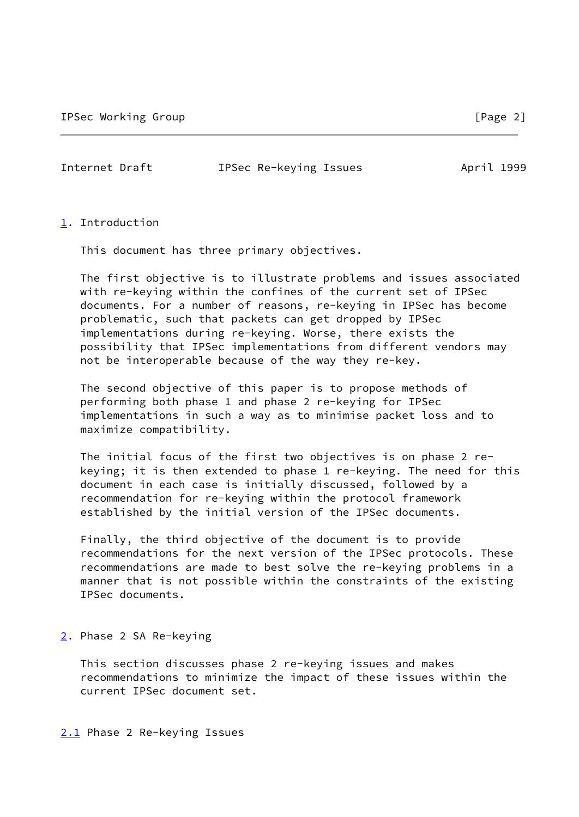<span id="page-2-1"></span>

Internet Draft **IPSec Re-keying Issues** April 1999

# <span id="page-2-0"></span>[1](#page-2-0). Introduction

This document has three primary objectives.

 The first objective is to illustrate problems and issues associated with re-keying within the confines of the current set of IPSec documents. For a number of reasons, re-keying in IPSec has become problematic, such that packets can get dropped by IPSec implementations during re-keying. Worse, there exists the possibility that IPSec implementations from different vendors may not be interoperable because of the way they re-key.

 The second objective of this paper is to propose methods of performing both phase 1 and phase 2 re-keying for IPSec implementations in such a way as to minimise packet loss and to maximize compatibility.

 The initial focus of the first two objectives is on phase 2 re keying; it is then extended to phase 1 re-keying. The need for this document in each case is initially discussed, followed by a recommendation for re-keying within the protocol framework established by the initial version of the IPSec documents.

 Finally, the third objective of the document is to provide recommendations for the next version of the IPSec protocols. These recommendations are made to best solve the re-keying problems in a manner that is not possible within the constraints of the existing IPSec documents.

## <span id="page-2-2"></span>[2](#page-2-2). Phase 2 SA Re-keying

 This section discusses phase 2 re-keying issues and makes recommendations to minimize the impact of these issues within the current IPSec document set.

<span id="page-2-3"></span>[2.1](#page-2-3) Phase 2 Re-keying Issues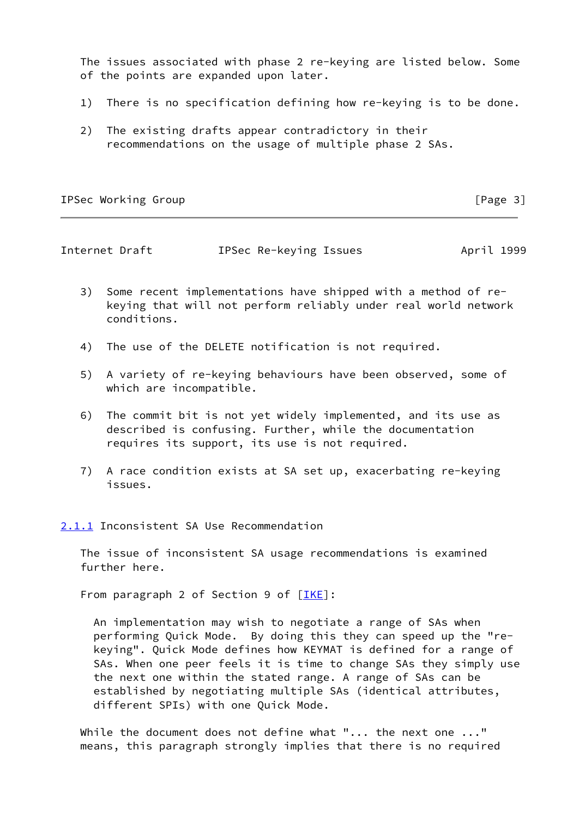The issues associated with phase 2 re-keying are listed below. Some of the points are expanded upon later.

- 1) There is no specification defining how re-keying is to be done.
- 2) The existing drafts appear contradictory in their recommendations on the usage of multiple phase 2 SAs.

IPSec Working Group **compared in the compared of the Compact** Compared in the compared of  $\lceil \text{Page 3} \rceil$ 

<span id="page-3-1"></span>Internet Draft **IPSec Re-keying Issues** April 1999

- 3) Some recent implementations have shipped with a method of re keying that will not perform reliably under real world network conditions.
- 4) The use of the DELETE notification is not required.
- 5) A variety of re-keying behaviours have been observed, some of which are incompatible.
- 6) The commit bit is not yet widely implemented, and its use as described is confusing. Further, while the documentation requires its support, its use is not required.
- 7) A race condition exists at SA set up, exacerbating re-keying issues.

<span id="page-3-0"></span>[2.1.1](#page-3-0) Inconsistent SA Use Recommendation

 The issue of inconsistent SA usage recommendations is examined further here.

From paragraph 2 of Section 9 of  $[IKE]$ :

 An implementation may wish to negotiate a range of SAs when performing Quick Mode. By doing this they can speed up the "re keying". Quick Mode defines how KEYMAT is defined for a range of SAs. When one peer feels it is time to change SAs they simply use the next one within the stated range. A range of SAs can be established by negotiating multiple SAs (identical attributes, different SPIs) with one Quick Mode.

While the document does not define what "... the next one ..." means, this paragraph strongly implies that there is no required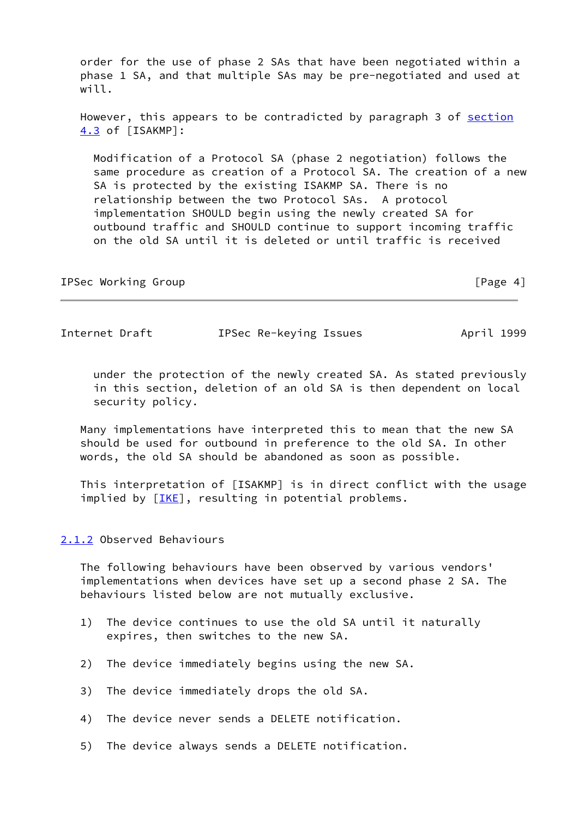order for the use of phase 2 SAs that have been negotiated within a phase 1 SA, and that multiple SAs may be pre-negotiated and used at will.

However, this appears to be contradicted by paragraph 3 of [section](#page-24-0) [4.3](#page-24-0) of [ISAKMP]:

 Modification of a Protocol SA (phase 2 negotiation) follows the same procedure as creation of a Protocol SA. The creation of a new SA is protected by the existing ISAKMP SA. There is no relationship between the two Protocol SAs. A protocol implementation SHOULD begin using the newly created SA for outbound traffic and SHOULD continue to support incoming traffic on the old SA until it is deleted or until traffic is received

| IPSec Working Group | [Page 4] |
|---------------------|----------|
|---------------------|----------|

<span id="page-4-1"></span>Internet Draft **IPSec Re-keying Issues** April 1999

 under the protection of the newly created SA. As stated previously in this section, deletion of an old SA is then dependent on local security policy.

 Many implementations have interpreted this to mean that the new SA should be used for outbound in preference to the old SA. In other words, the old SA should be abandoned as soon as possible.

 This interpretation of [ISAKMP] is in direct conflict with the usage implied by [[IKE\]](#page-32-3), resulting in potential problems.

## <span id="page-4-0"></span>[2.1.2](#page-4-0) Observed Behaviours

 The following behaviours have been observed by various vendors' implementations when devices have set up a second phase 2 SA. The behaviours listed below are not mutually exclusive.

- 1) The device continues to use the old SA until it naturally expires, then switches to the new SA.
- 2) The device immediately begins using the new SA.
- 3) The device immediately drops the old SA.
- 4) The device never sends a DELETE notification.
- 5) The device always sends a DELETE notification.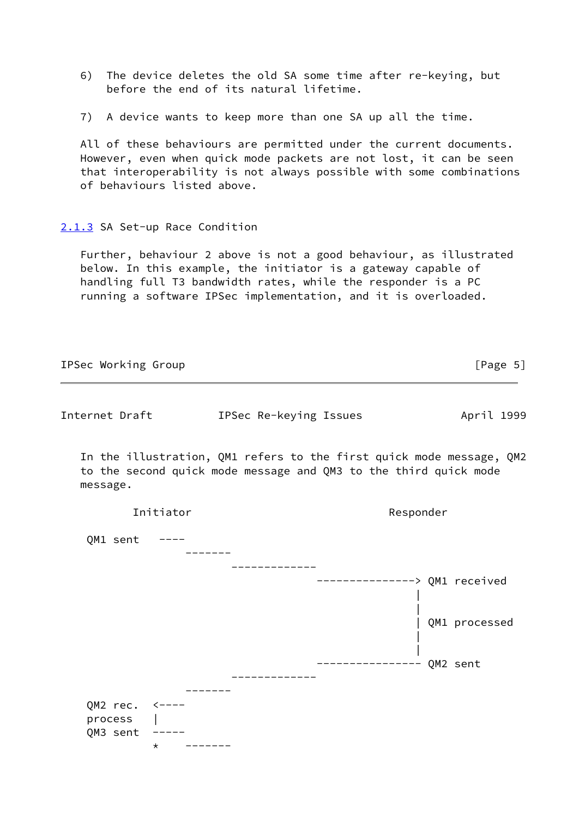- 6) The device deletes the old SA some time after re-keying, but before the end of its natural lifetime.
- 7) A device wants to keep more than one SA up all the time.

 All of these behaviours are permitted under the current documents. However, even when quick mode packets are not lost, it can be seen that interoperability is not always possible with some combinations of behaviours listed above.

## <span id="page-5-0"></span>[2.1.3](#page-5-0) SA Set-up Race Condition

 Further, behaviour 2 above is not a good behaviour, as illustrated below. In this example, the initiator is a gateway capable of handling full T3 bandwidth rates, while the responder is a PC running a software IPSec implementation, and it is overloaded.

| IPSec Working Group |           |                        | [Page $5$ ]                                                                                                                              |
|---------------------|-----------|------------------------|------------------------------------------------------------------------------------------------------------------------------------------|
| Internet Draft      |           | IPSec Re-keying Issues | April 1999                                                                                                                               |
| message.            |           |                        | In the illustration, QM1 refers to the first quick mode message, QM2<br>to the second quick mode message and QM3 to the third quick mode |
|                     | Initiator |                        | Responder                                                                                                                                |
| QM1 sent            |           |                        |                                                                                                                                          |
|                     |           |                        |                                                                                                                                          |
|                     |           |                        | -------------> QM1 received                                                                                                              |
|                     |           |                        | QM1 processed                                                                                                                            |
|                     |           |                        | ---- QM2 sent                                                                                                                            |
| QM2 $rec.$ <----    |           |                        |                                                                                                                                          |
| process             |           |                        |                                                                                                                                          |
| QM3 sent            | $\star$   |                        |                                                                                                                                          |
|                     |           |                        |                                                                                                                                          |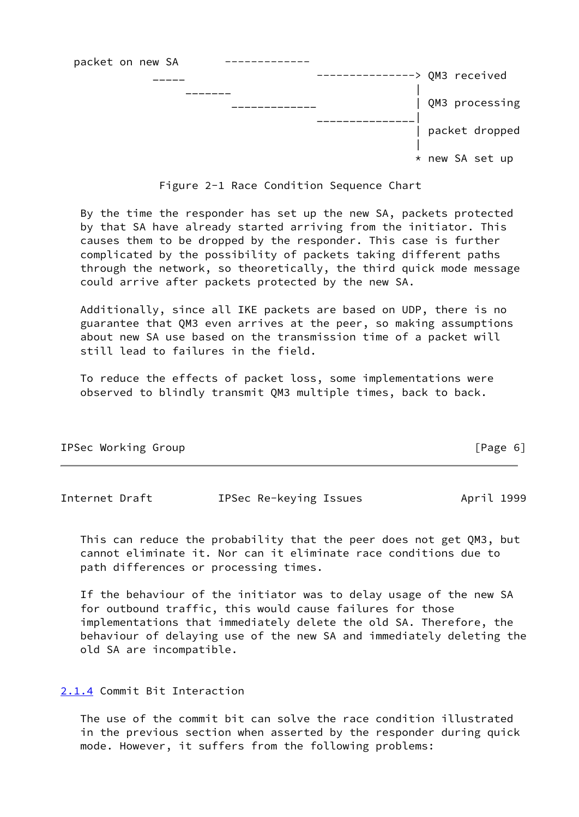

Figure 2-1 Race Condition Sequence Chart

 By the time the responder has set up the new SA, packets protected by that SA have already started arriving from the initiator. This causes them to be dropped by the responder. This case is further complicated by the possibility of packets taking different paths through the network, so theoretically, the third quick mode message could arrive after packets protected by the new SA.

 Additionally, since all IKE packets are based on UDP, there is no guarantee that QM3 even arrives at the peer, so making assumptions about new SA use based on the transmission time of a packet will still lead to failures in the field.

 To reduce the effects of packet loss, some implementations were observed to blindly transmit QM3 multiple times, back to back.

| IPSec Working Group | [Page 6] |
|---------------------|----------|
|                     |          |

<span id="page-6-1"></span>

| Internet Draft | IPSec Re-keying Issues | April 1999 |
|----------------|------------------------|------------|
|                |                        |            |

 This can reduce the probability that the peer does not get QM3, but cannot eliminate it. Nor can it eliminate race conditions due to path differences or processing times.

 If the behaviour of the initiator was to delay usage of the new SA for outbound traffic, this would cause failures for those implementations that immediately delete the old SA. Therefore, the behaviour of delaying use of the new SA and immediately deleting the old SA are incompatible.

<span id="page-6-0"></span>[2.1.4](#page-6-0) Commit Bit Interaction

 The use of the commit bit can solve the race condition illustrated in the previous section when asserted by the responder during quick mode. However, it suffers from the following problems: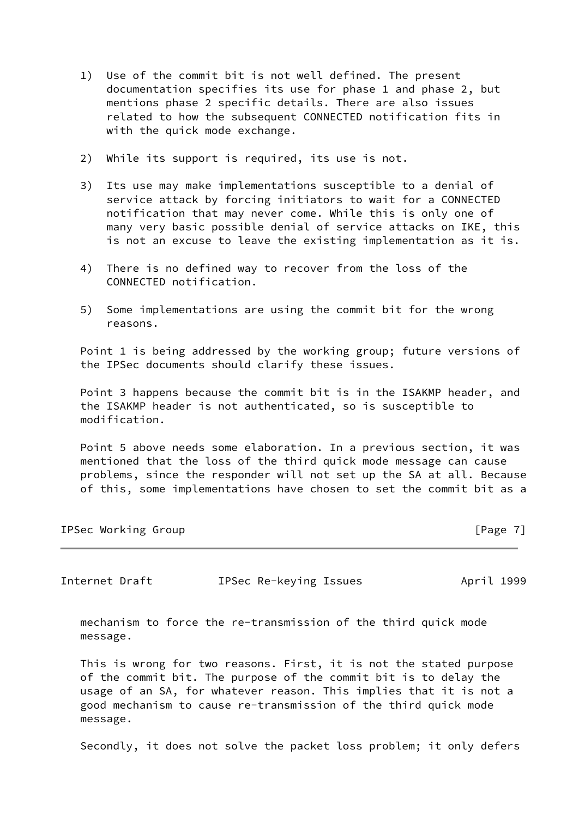- 1) Use of the commit bit is not well defined. The present documentation specifies its use for phase 1 and phase 2, but mentions phase 2 specific details. There are also issues related to how the subsequent CONNECTED notification fits in with the quick mode exchange.
- 2) While its support is required, its use is not.
- 3) Its use may make implementations susceptible to a denial of service attack by forcing initiators to wait for a CONNECTED notification that may never come. While this is only one of many very basic possible denial of service attacks on IKE, this is not an excuse to leave the existing implementation as it is.
- 4) There is no defined way to recover from the loss of the CONNECTED notification.
- 5) Some implementations are using the commit bit for the wrong reasons.

 Point 1 is being addressed by the working group; future versions of the IPSec documents should clarify these issues.

 Point 3 happens because the commit bit is in the ISAKMP header, and the ISAKMP header is not authenticated, so is susceptible to modification.

 Point 5 above needs some elaboration. In a previous section, it was mentioned that the loss of the third quick mode message can cause problems, since the responder will not set up the SA at all. Because of this, some implementations have chosen to set the commit bit as a

IPSec Working Group **by the contract of the contract of the contract of the contract of the contract of the contract of the contract of the contract of**  $[Page 7]$ 

<span id="page-7-0"></span>Internet Draft **IPSec Re-keying Issues** April 1999

 mechanism to force the re-transmission of the third quick mode message.

 This is wrong for two reasons. First, it is not the stated purpose of the commit bit. The purpose of the commit bit is to delay the usage of an SA, for whatever reason. This implies that it is not a good mechanism to cause re-transmission of the third quick mode message.

Secondly, it does not solve the packet loss problem; it only defers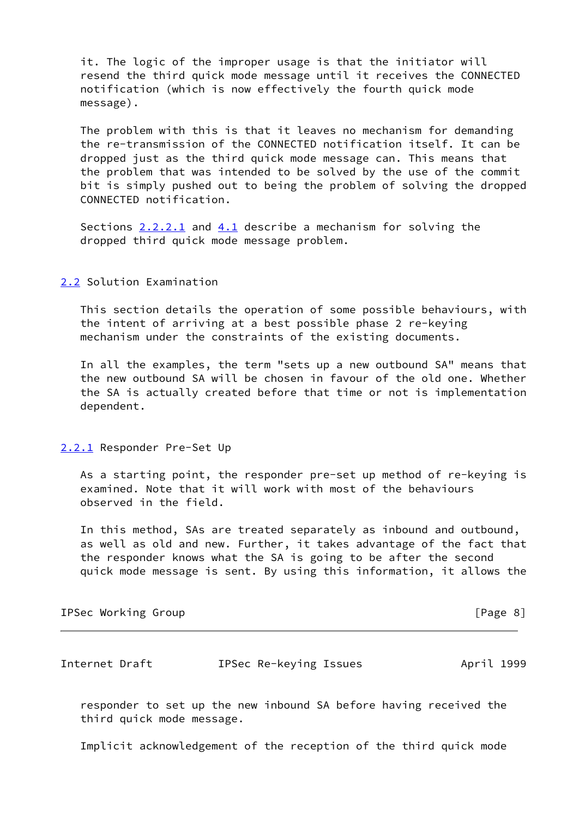it. The logic of the improper usage is that the initiator will resend the third quick mode message until it receives the CONNECTED notification (which is now effectively the fourth quick mode message).

 The problem with this is that it leaves no mechanism for demanding the re-transmission of the CONNECTED notification itself. It can be dropped just as the third quick mode message can. This means that the problem that was intended to be solved by the use of the commit bit is simply pushed out to being the problem of solving the dropped CONNECTED notification.

Sections  $2.2.2.1$  and  $4.1$  describe a mechanism for solving the dropped third quick mode message problem.

## <span id="page-8-0"></span>[2.2](#page-8-0) Solution Examination

 This section details the operation of some possible behaviours, with the intent of arriving at a best possible phase 2 re-keying mechanism under the constraints of the existing documents.

 In all the examples, the term "sets up a new outbound SA" means that the new outbound SA will be chosen in favour of the old one. Whether the SA is actually created before that time or not is implementation dependent.

## <span id="page-8-1"></span>[2.2.1](#page-8-1) Responder Pre-Set Up

 As a starting point, the responder pre-set up method of re-keying is examined. Note that it will work with most of the behaviours observed in the field.

 In this method, SAs are treated separately as inbound and outbound, as well as old and new. Further, it takes advantage of the fact that the responder knows what the SA is going to be after the second quick mode message is sent. By using this information, it allows the

IPSec Working Group **compared in the Community** of the IP and IPSec Working Group

Internet Draft IPSec Re-keying Issues April 1999

 responder to set up the new inbound SA before having received the third quick mode message.

Implicit acknowledgement of the reception of the third quick mode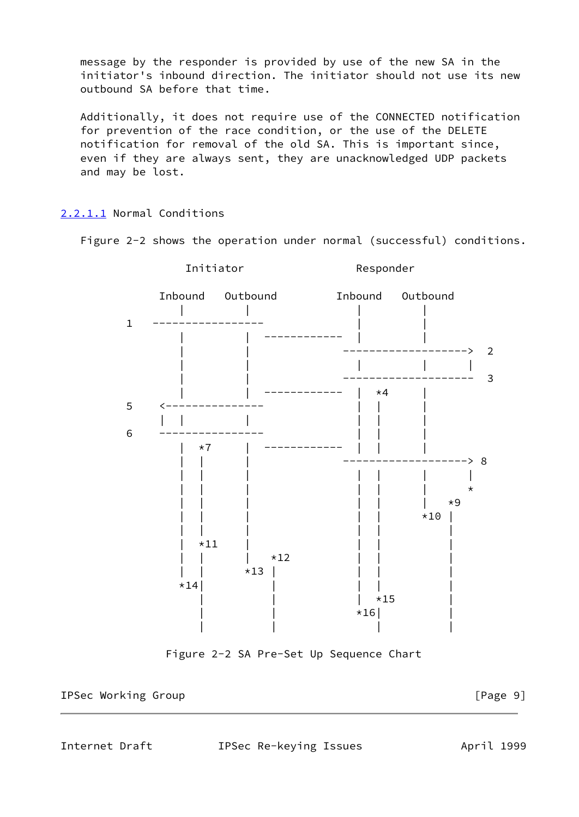message by the responder is provided by use of the new SA in the initiator's inbound direction. The initiator should not use its new outbound SA before that time.

 Additionally, it does not require use of the CONNECTED notification for prevention of the race condition, or the use of the DELETE notification for removal of the old SA. This is important since, even if they are always sent, they are unacknowledged UDP packets and may be lost.

## <span id="page-9-0"></span>[2.2.1.1](#page-9-0) Normal Conditions

Figure 2-2 shows the operation under normal (successful) conditions.



Figure 2-2 SA Pre-Set Up Sequence Chart

IPSec Working Group **compared in the Community** of the Legendrum in the Legendrum of  $[Page 9]$ 

<span id="page-9-1"></span>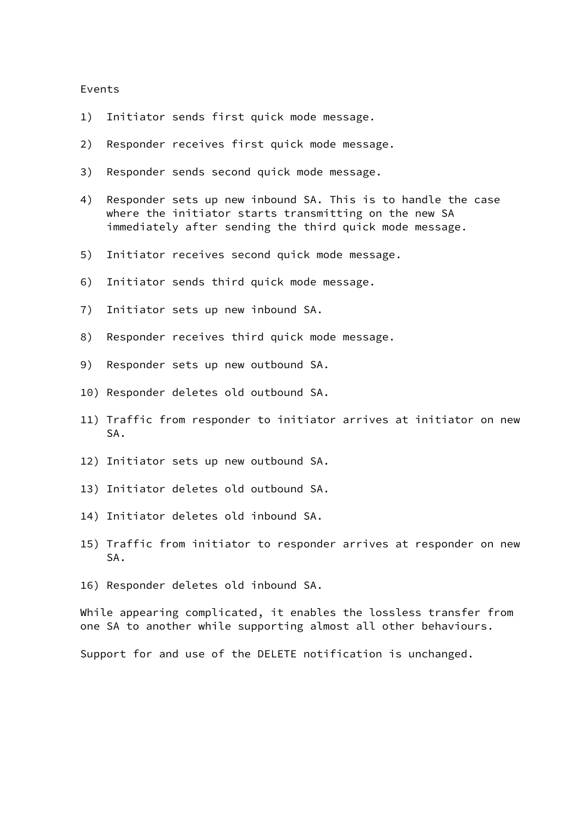## Events

- 1) Initiator sends first quick mode message.
- 2) Responder receives first quick mode message.
- 3) Responder sends second quick mode message.
- 4) Responder sets up new inbound SA. This is to handle the case where the initiator starts transmitting on the new SA immediately after sending the third quick mode message.
- 5) Initiator receives second quick mode message.
- 6) Initiator sends third quick mode message.
- 7) Initiator sets up new inbound SA.
- 8) Responder receives third quick mode message.
- 9) Responder sets up new outbound SA.
- 10) Responder deletes old outbound SA.
- 11) Traffic from responder to initiator arrives at initiator on new SA.
- 12) Initiator sets up new outbound SA.
- 13) Initiator deletes old outbound SA.
- 14) Initiator deletes old inbound SA.
- 15) Traffic from initiator to responder arrives at responder on new SA.
- 16) Responder deletes old inbound SA.

 While appearing complicated, it enables the lossless transfer from one SA to another while supporting almost all other behaviours.

Support for and use of the DELETE notification is unchanged.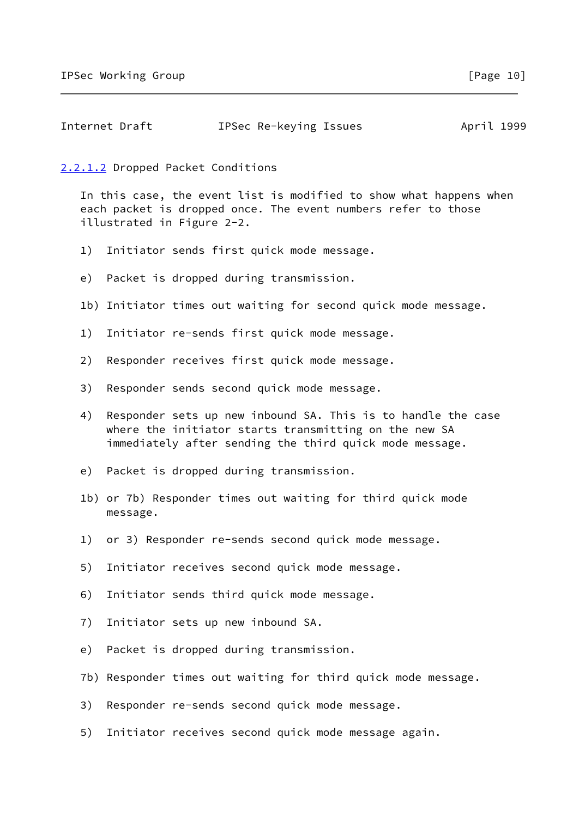<span id="page-11-1"></span>

| Internet Draft | IPSec Re-keying Issues | April 1999 |
|----------------|------------------------|------------|
|----------------|------------------------|------------|

## <span id="page-11-0"></span>[2.2.1.2](#page-11-0) Dropped Packet Conditions

 In this case, the event list is modified to show what happens when each packet is dropped once. The event numbers refer to those illustrated in Figure 2-2.

- 1) Initiator sends first quick mode message.
- e) Packet is dropped during transmission.
- 1b) Initiator times out waiting for second quick mode message.
- 1) Initiator re-sends first quick mode message.
- 2) Responder receives first quick mode message.
- 3) Responder sends second quick mode message.
- 4) Responder sets up new inbound SA. This is to handle the case where the initiator starts transmitting on the new SA immediately after sending the third quick mode message.
- e) Packet is dropped during transmission.
- 1b) or 7b) Responder times out waiting for third quick mode message.
- 1) or 3) Responder re-sends second quick mode message.
- 5) Initiator receives second quick mode message.
- 6) Initiator sends third quick mode message.
- 7) Initiator sets up new inbound SA.
- e) Packet is dropped during transmission.
- 7b) Responder times out waiting for third quick mode message.
- 3) Responder re-sends second quick mode message.
- 5) Initiator receives second quick mode message again.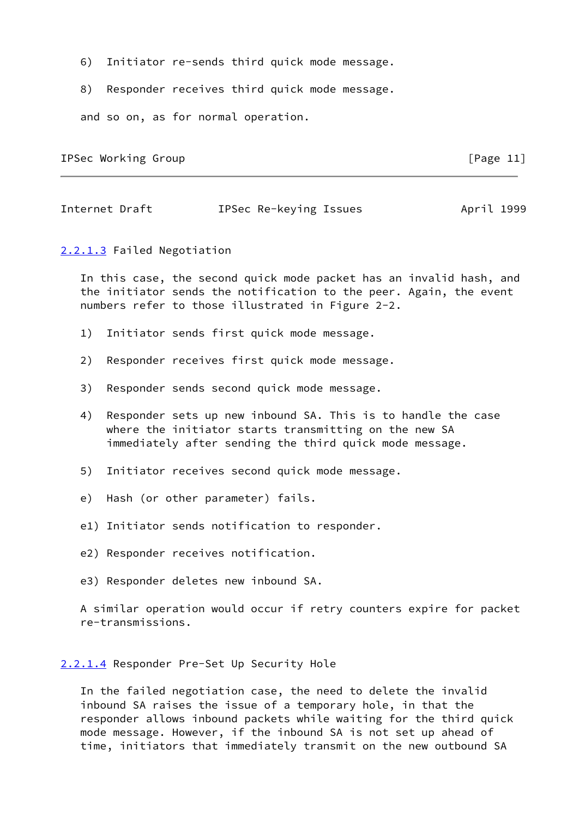- 6) Initiator re-sends third quick mode message.
- 8) Responder receives third quick mode message.

and so on, as for normal operation.

IPSec Working Group **Example 20** IPSec Working Group

<span id="page-12-2"></span>Internet Draft **IPSec Re-keying Issues** April 1999

#### <span id="page-12-0"></span>[2.2.1.3](#page-12-0) Failed Negotiation

 In this case, the second quick mode packet has an invalid hash, and the initiator sends the notification to the peer. Again, the event numbers refer to those illustrated in Figure 2-2.

- 1) Initiator sends first quick mode message.
- 2) Responder receives first quick mode message.
- 3) Responder sends second quick mode message.
- 4) Responder sets up new inbound SA. This is to handle the case where the initiator starts transmitting on the new SA immediately after sending the third quick mode message.
- 5) Initiator receives second quick mode message.
- e) Hash (or other parameter) fails.
- e1) Initiator sends notification to responder.
- e2) Responder receives notification.
- e3) Responder deletes new inbound SA.

 A similar operation would occur if retry counters expire for packet re-transmissions.

#### <span id="page-12-1"></span>[2.2.1.4](#page-12-1) Responder Pre-Set Up Security Hole

 In the failed negotiation case, the need to delete the invalid inbound SA raises the issue of a temporary hole, in that the responder allows inbound packets while waiting for the third quick mode message. However, if the inbound SA is not set up ahead of time, initiators that immediately transmit on the new outbound SA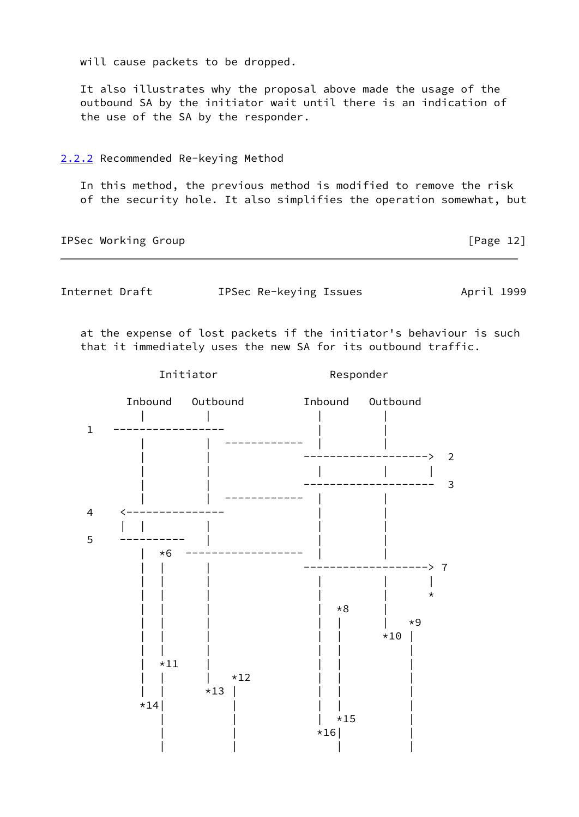will cause packets to be dropped.

 It also illustrates why the proposal above made the usage of the outbound SA by the initiator wait until there is an indication of the use of the SA by the responder.

## <span id="page-13-0"></span>[2.2.2](#page-13-0) Recommended Re-keying Method

 In this method, the previous method is modified to remove the risk of the security hole. It also simplifies the operation somewhat, but

IPSec Working Group **IPSec Working** Croup

<span id="page-13-1"></span>

Internet Draft **IPSec Re-keying Issues** April 1999

 at the expense of lost packets if the initiator's behaviour is such that it immediately uses the new SA for its outbound traffic.

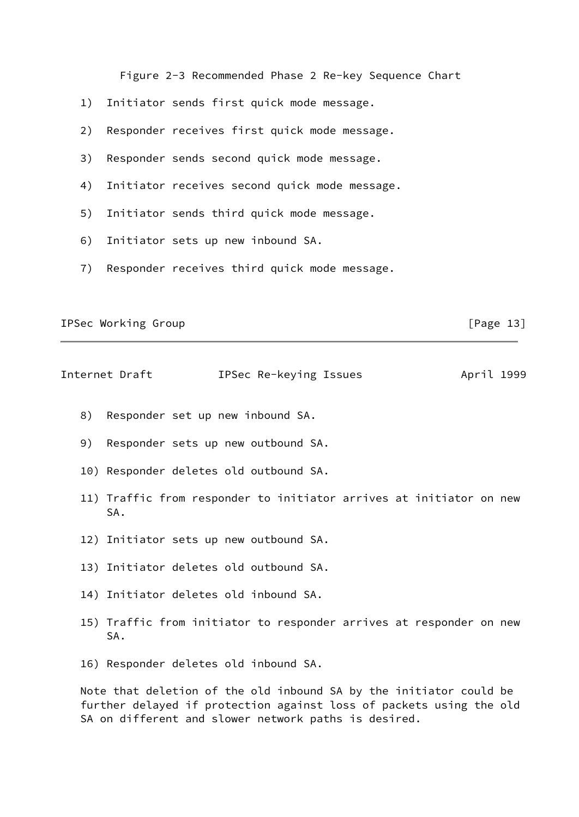Figure 2-3 Recommended Phase 2 Re-key Sequence Chart

- 1) Initiator sends first quick mode message.
- 2) Responder receives first quick mode message.
- 3) Responder sends second quick mode message.
- 4) Initiator receives second quick mode message.
- 5) Initiator sends third quick mode message.
- 6) Initiator sets up new inbound SA.
- 7) Responder receives third quick mode message.

IPSec Working Group **IPSec Working** Croup

<span id="page-14-0"></span>Internet Draft **IPSec Re-keying Issues** April 1999

- 8) Responder set up new inbound SA.
- 9) Responder sets up new outbound SA.
- 10) Responder deletes old outbound SA.
- 11) Traffic from responder to initiator arrives at initiator on new SA.
- 12) Initiator sets up new outbound SA.
- 13) Initiator deletes old outbound SA.
- 14) Initiator deletes old inbound SA.
- 15) Traffic from initiator to responder arrives at responder on new SA.
- 16) Responder deletes old inbound SA.

 Note that deletion of the old inbound SA by the initiator could be further delayed if protection against loss of packets using the old SA on different and slower network paths is desired.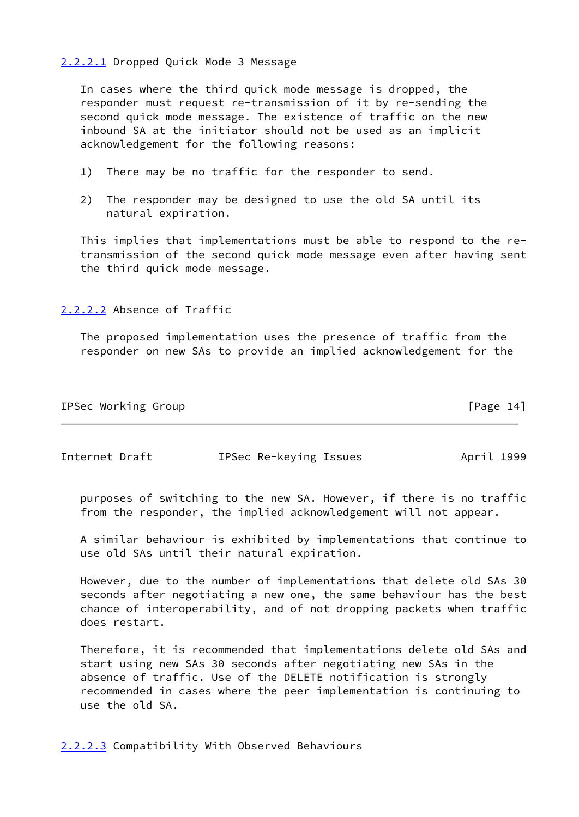#### <span id="page-15-0"></span>[2.2.2.1](#page-15-0) Dropped Quick Mode 3 Message

 In cases where the third quick mode message is dropped, the responder must request re-transmission of it by re-sending the second quick mode message. The existence of traffic on the new inbound SA at the initiator should not be used as an implicit acknowledgement for the following reasons:

- 1) There may be no traffic for the responder to send.
- 2) The responder may be designed to use the old SA until its natural expiration.

 This implies that implementations must be able to respond to the re transmission of the second quick mode message even after having sent the third quick mode message.

<span id="page-15-1"></span>[2.2.2.2](#page-15-1) Absence of Traffic

 The proposed implementation uses the presence of traffic from the responder on new SAs to provide an implied acknowledgement for the

| IPSec Working Group |  |  | [Page 14] |  |
|---------------------|--|--|-----------|--|
|                     |  |  |           |  |

<span id="page-15-3"></span>Internet Draft IPSec Re-keying Issues April 1999

 purposes of switching to the new SA. However, if there is no traffic from the responder, the implied acknowledgement will not appear.

 A similar behaviour is exhibited by implementations that continue to use old SAs until their natural expiration.

 However, due to the number of implementations that delete old SAs 30 seconds after negotiating a new one, the same behaviour has the best chance of interoperability, and of not dropping packets when traffic does restart.

 Therefore, it is recommended that implementations delete old SAs and start using new SAs 30 seconds after negotiating new SAs in the absence of traffic. Use of the DELETE notification is strongly recommended in cases where the peer implementation is continuing to use the old SA.

<span id="page-15-2"></span>[2.2.2.3](#page-15-2) Compatibility With Observed Behaviours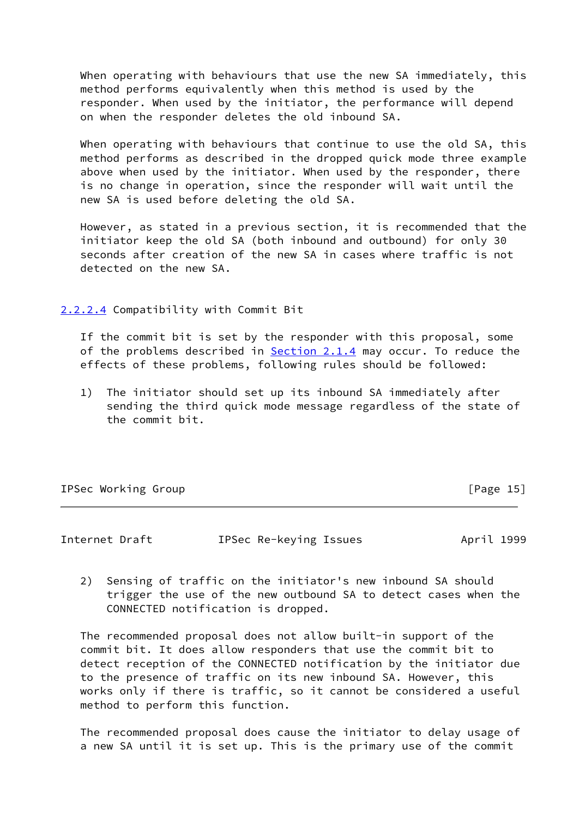When operating with behaviours that use the new SA immediately, this method performs equivalently when this method is used by the responder. When used by the initiator, the performance will depend on when the responder deletes the old inbound SA.

 When operating with behaviours that continue to use the old SA, this method performs as described in the dropped quick mode three example above when used by the initiator. When used by the responder, there is no change in operation, since the responder will wait until the new SA is used before deleting the old SA.

 However, as stated in a previous section, it is recommended that the initiator keep the old SA (both inbound and outbound) for only 30 seconds after creation of the new SA in cases where traffic is not detected on the new SA.

<span id="page-16-0"></span>[2.2.2.4](#page-16-0) Compatibility with Commit Bit

 If the commit bit is set by the responder with this proposal, some of the problems described in  $Section 2.1.4$  may occur. To reduce the effects of these problems, following rules should be followed:

 1) The initiator should set up its inbound SA immediately after sending the third quick mode message regardless of the state of the commit bit.

|  | IPSec Working Group |  |
|--|---------------------|--|
|--|---------------------|--|

 $[Page 15]$ 

<span id="page-16-1"></span>Internet Draft **IPSec Re-keying Issues** April 1999

 2) Sensing of traffic on the initiator's new inbound SA should trigger the use of the new outbound SA to detect cases when the CONNECTED notification is dropped.

 The recommended proposal does not allow built-in support of the commit bit. It does allow responders that use the commit bit to detect reception of the CONNECTED notification by the initiator due to the presence of traffic on its new inbound SA. However, this works only if there is traffic, so it cannot be considered a useful method to perform this function.

 The recommended proposal does cause the initiator to delay usage of a new SA until it is set up. This is the primary use of the commit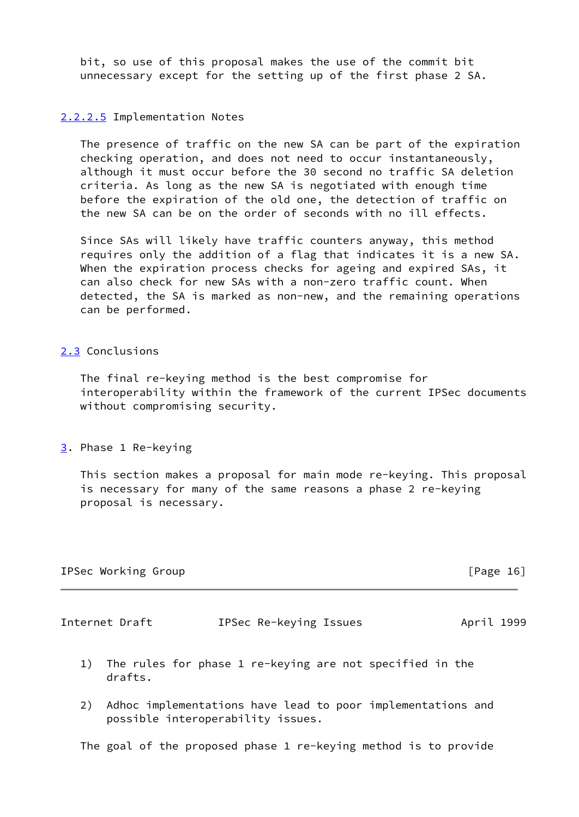bit, so use of this proposal makes the use of the commit bit unnecessary except for the setting up of the first phase 2 SA.

## <span id="page-17-0"></span>[2.2.2.5](#page-17-0) Implementation Notes

 The presence of traffic on the new SA can be part of the expiration checking operation, and does not need to occur instantaneously, although it must occur before the 30 second no traffic SA deletion criteria. As long as the new SA is negotiated with enough time before the expiration of the old one, the detection of traffic on the new SA can be on the order of seconds with no ill effects.

 Since SAs will likely have traffic counters anyway, this method requires only the addition of a flag that indicates it is a new SA. When the expiration process checks for ageing and expired SAs, it can also check for new SAs with a non-zero traffic count. When detected, the SA is marked as non-new, and the remaining operations can be performed.

## <span id="page-17-1"></span>[2.3](#page-17-1) Conclusions

 The final re-keying method is the best compromise for interoperability within the framework of the current IPSec documents without compromising security.

<span id="page-17-2"></span>[3](#page-17-2). Phase 1 Re-keying

 This section makes a proposal for main mode re-keying. This proposal is necessary for many of the same reasons a phase 2 re-keying proposal is necessary.

|  | IPSec Working Group |  |
|--|---------------------|--|
|--|---------------------|--|

 $[Page 16]$ 

<span id="page-17-3"></span>Internet Draft **IPSec Re-keying Issues** April 1999

- 1) The rules for phase 1 re-keying are not specified in the drafts.
- 2) Adhoc implementations have lead to poor implementations and possible interoperability issues.

The goal of the proposed phase 1 re-keying method is to provide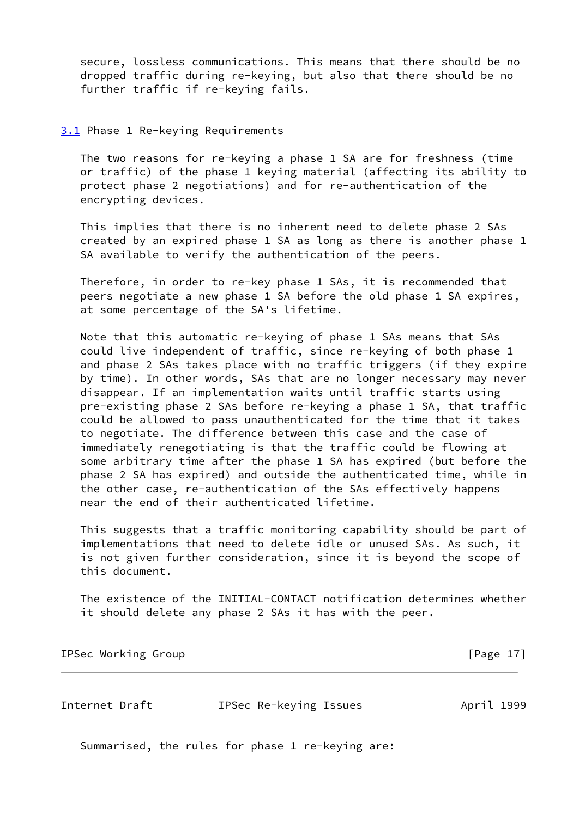secure, lossless communications. This means that there should be no dropped traffic during re-keying, but also that there should be no further traffic if re-keying fails.

## <span id="page-18-0"></span>[3.1](#page-18-0) Phase 1 Re-keying Requirements

 The two reasons for re-keying a phase 1 SA are for freshness (time or traffic) of the phase 1 keying material (affecting its ability to protect phase 2 negotiations) and for re-authentication of the encrypting devices.

 This implies that there is no inherent need to delete phase 2 SAs created by an expired phase 1 SA as long as there is another phase 1 SA available to verify the authentication of the peers.

 Therefore, in order to re-key phase 1 SAs, it is recommended that peers negotiate a new phase 1 SA before the old phase 1 SA expires, at some percentage of the SA's lifetime.

 Note that this automatic re-keying of phase 1 SAs means that SAs could live independent of traffic, since re-keying of both phase 1 and phase 2 SAs takes place with no traffic triggers (if they expire by time). In other words, SAs that are no longer necessary may never disappear. If an implementation waits until traffic starts using pre-existing phase 2 SAs before re-keying a phase 1 SA, that traffic could be allowed to pass unauthenticated for the time that it takes to negotiate. The difference between this case and the case of immediately renegotiating is that the traffic could be flowing at some arbitrary time after the phase 1 SA has expired (but before the phase 2 SA has expired) and outside the authenticated time, while in the other case, re-authentication of the SAs effectively happens near the end of their authenticated lifetime.

 This suggests that a traffic monitoring capability should be part of implementations that need to delete idle or unused SAs. As such, it is not given further consideration, since it is beyond the scope of this document.

 The existence of the INITIAL-CONTACT notification determines whether it should delete any phase 2 SAs it has with the peer.

IPSec Working Group **Example 20** in the second series of the series of the series of  $[Page 17]$ 

<span id="page-18-1"></span>Internet Draft IPSec Re-keying Issues April 1999

Summarised, the rules for phase 1 re-keying are: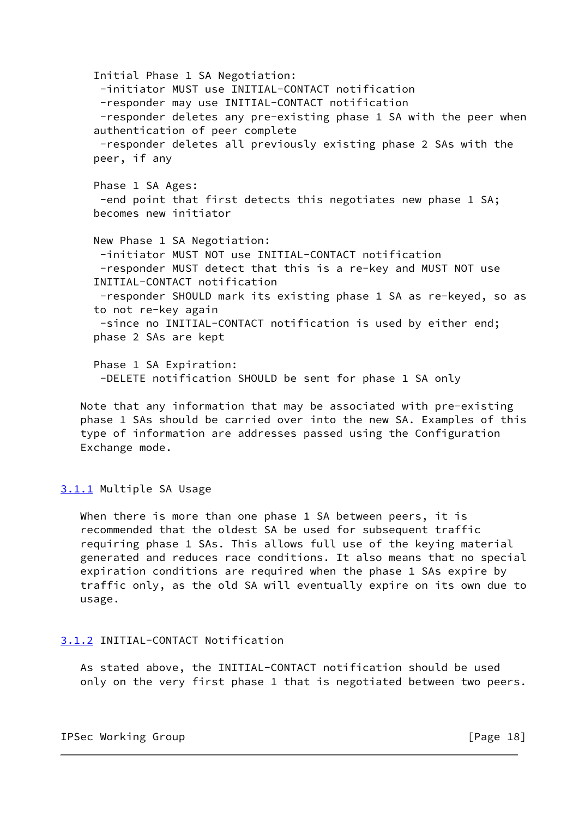Initial Phase 1 SA Negotiation: -initiator MUST use INITIAL-CONTACT notification -responder may use INITIAL-CONTACT notification -responder deletes any pre-existing phase 1 SA with the peer when authentication of peer complete -responder deletes all previously existing phase 2 SAs with the peer, if any Phase 1 SA Ages: -end point that first detects this negotiates new phase 1 SA; becomes new initiator New Phase 1 SA Negotiation: -initiator MUST NOT use INITIAL-CONTACT notification -responder MUST detect that this is a re-key and MUST NOT use INITIAL-CONTACT notification -responder SHOULD mark its existing phase 1 SA as re-keyed, so as to not re-key again -since no INITIAL-CONTACT notification is used by either end; phase 2 SAs are kept Phase 1 SA Expiration: -DELETE notification SHOULD be sent for phase 1 SA only

 Note that any information that may be associated with pre-existing phase 1 SAs should be carried over into the new SA. Examples of this type of information are addresses passed using the Configuration Exchange mode.

# <span id="page-19-0"></span>[3.1.1](#page-19-0) Multiple SA Usage

When there is more than one phase 1 SA between peers, it is recommended that the oldest SA be used for subsequent traffic requiring phase 1 SAs. This allows full use of the keying material generated and reduces race conditions. It also means that no special expiration conditions are required when the phase 1 SAs expire by traffic only, as the old SA will eventually expire on its own due to usage.

#### <span id="page-19-1"></span>[3.1.2](#page-19-1) INITIAL-CONTACT Notification

 As stated above, the INITIAL-CONTACT notification should be used only on the very first phase 1 that is negotiated between two peers.

IPSec Working Group **compared in the Community** of the IPSec Working Group **[Page 18]**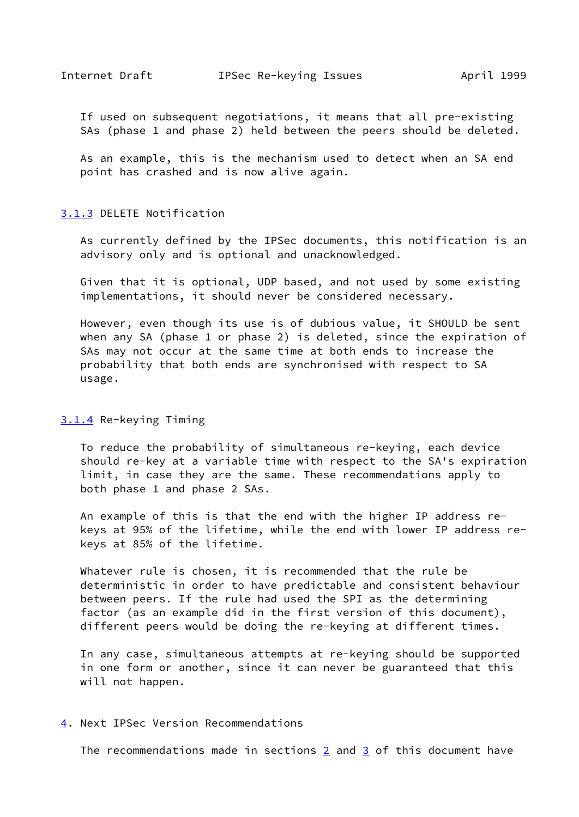<span id="page-20-3"></span> If used on subsequent negotiations, it means that all pre-existing SAs (phase 1 and phase 2) held between the peers should be deleted.

 As an example, this is the mechanism used to detect when an SA end point has crashed and is now alive again.

#### <span id="page-20-0"></span>[3.1.3](#page-20-0) DELETE Notification

 As currently defined by the IPSec documents, this notification is an advisory only and is optional and unacknowledged.

 Given that it is optional, UDP based, and not used by some existing implementations, it should never be considered necessary.

 However, even though its use is of dubious value, it SHOULD be sent when any SA (phase 1 or phase 2) is deleted, since the expiration of SAs may not occur at the same time at both ends to increase the probability that both ends are synchronised with respect to SA usage.

## <span id="page-20-1"></span>[3.1.4](#page-20-1) Re-keying Timing

 To reduce the probability of simultaneous re-keying, each device should re-key at a variable time with respect to the SA's expiration limit, in case they are the same. These recommendations apply to both phase 1 and phase 2 SAs.

 An example of this is that the end with the higher IP address re keys at 95% of the lifetime, while the end with lower IP address re keys at 85% of the lifetime.

 Whatever rule is chosen, it is recommended that the rule be deterministic in order to have predictable and consistent behaviour between peers. If the rule had used the SPI as the determining factor (as an example did in the first version of this document), different peers would be doing the re-keying at different times.

 In any case, simultaneous attempts at re-keying should be supported in one form or another, since it can never be guaranteed that this will not happen.

#### <span id="page-20-2"></span>[4](#page-20-2). Next IPSec Version Recommendations

The recommendations made in sections  $2$  and  $3$  of this document have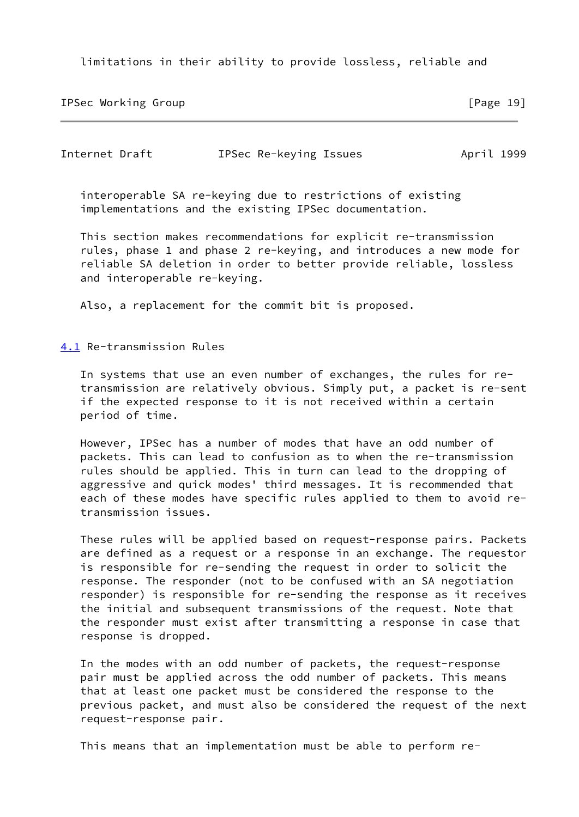limitations in their ability to provide lossless, reliable and

IPSec Working Group [Page 19]

<span id="page-21-1"></span>

| Internet Draft | IPSec Re-keying Issues | April 1999 |
|----------------|------------------------|------------|
|----------------|------------------------|------------|

 interoperable SA re-keying due to restrictions of existing implementations and the existing IPSec documentation.

 This section makes recommendations for explicit re-transmission rules, phase 1 and phase 2 re-keying, and introduces a new mode for reliable SA deletion in order to better provide reliable, lossless and interoperable re-keying.

Also, a replacement for the commit bit is proposed.

<span id="page-21-0"></span>[4.1](#page-21-0) Re-transmission Rules

 In systems that use an even number of exchanges, the rules for re transmission are relatively obvious. Simply put, a packet is re-sent if the expected response to it is not received within a certain period of time.

 However, IPSec has a number of modes that have an odd number of packets. This can lead to confusion as to when the re-transmission rules should be applied. This in turn can lead to the dropping of aggressive and quick modes' third messages. It is recommended that each of these modes have specific rules applied to them to avoid re transmission issues.

 These rules will be applied based on request-response pairs. Packets are defined as a request or a response in an exchange. The requestor is responsible for re-sending the request in order to solicit the response. The responder (not to be confused with an SA negotiation responder) is responsible for re-sending the response as it receives the initial and subsequent transmissions of the request. Note that the responder must exist after transmitting a response in case that response is dropped.

 In the modes with an odd number of packets, the request-response pair must be applied across the odd number of packets. This means that at least one packet must be considered the response to the previous packet, and must also be considered the request of the next request-response pair.

This means that an implementation must be able to perform re-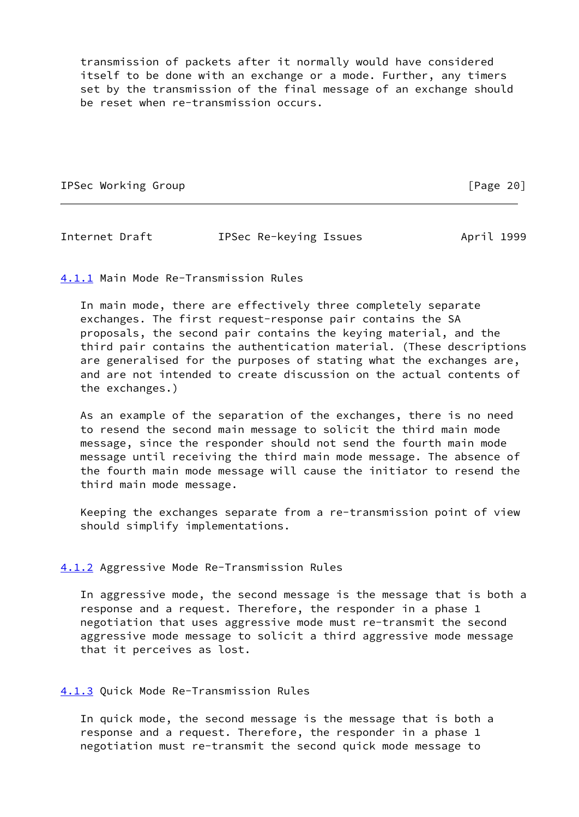transmission of packets after it normally would have considered itself to be done with an exchange or a mode. Further, any timers set by the transmission of the final message of an exchange should be reset when re-transmission occurs.

IPSec Working Group **IPSec Working** Croup

<span id="page-22-3"></span>Internet Draft **IPSec Re-keying Issues** April 1999

<span id="page-22-0"></span>[4.1.1](#page-22-0) Main Mode Re-Transmission Rules

 In main mode, there are effectively three completely separate exchanges. The first request-response pair contains the SA proposals, the second pair contains the keying material, and the third pair contains the authentication material. (These descriptions are generalised for the purposes of stating what the exchanges are, and are not intended to create discussion on the actual contents of the exchanges.)

 As an example of the separation of the exchanges, there is no need to resend the second main message to solicit the third main mode message, since the responder should not send the fourth main mode message until receiving the third main mode message. The absence of the fourth main mode message will cause the initiator to resend the third main mode message.

 Keeping the exchanges separate from a re-transmission point of view should simplify implementations.

## <span id="page-22-1"></span>[4.1.2](#page-22-1) Aggressive Mode Re-Transmission Rules

 In aggressive mode, the second message is the message that is both a response and a request. Therefore, the responder in a phase 1 negotiation that uses aggressive mode must re-transmit the second aggressive mode message to solicit a third aggressive mode message that it perceives as lost.

## <span id="page-22-2"></span>[4.1.3](#page-22-2) Quick Mode Re-Transmission Rules

 In quick mode, the second message is the message that is both a response and a request. Therefore, the responder in a phase 1 negotiation must re-transmit the second quick mode message to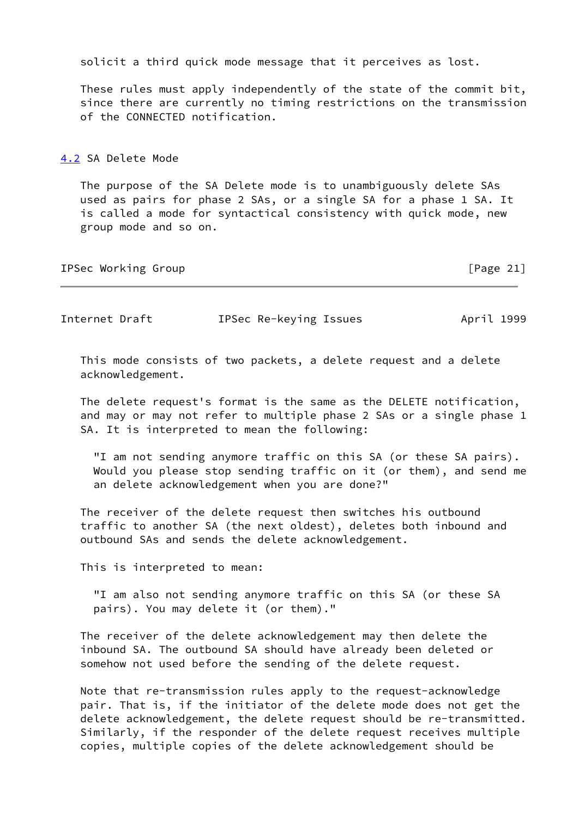solicit a third quick mode message that it perceives as lost.

 These rules must apply independently of the state of the commit bit, since there are currently no timing restrictions on the transmission of the CONNECTED notification.

<span id="page-23-0"></span>[4.2](#page-23-0) SA Delete Mode

 The purpose of the SA Delete mode is to unambiguously delete SAs used as pairs for phase 2 SAs, or a single SA for a phase 1 SA. It is called a mode for syntactical consistency with quick mode, new group mode and so on.

| IPSec Working Group | [Page $21$ ] |
|---------------------|--------------|
|---------------------|--------------|

Internet Draft **IPSec Re-keying Issues** April 1999

 This mode consists of two packets, a delete request and a delete acknowledgement.

 The delete request's format is the same as the DELETE notification, and may or may not refer to multiple phase 2 SAs or a single phase 1 SA. It is interpreted to mean the following:

 "I am not sending anymore traffic on this SA (or these SA pairs). Would you please stop sending traffic on it (or them), and send me an delete acknowledgement when you are done?"

 The receiver of the delete request then switches his outbound traffic to another SA (the next oldest), deletes both inbound and outbound SAs and sends the delete acknowledgement.

This is interpreted to mean:

 "I am also not sending anymore traffic on this SA (or these SA pairs). You may delete it (or them)."

 The receiver of the delete acknowledgement may then delete the inbound SA. The outbound SA should have already been deleted or somehow not used before the sending of the delete request.

 Note that re-transmission rules apply to the request-acknowledge pair. That is, if the initiator of the delete mode does not get the delete acknowledgement, the delete request should be re-transmitted. Similarly, if the responder of the delete request receives multiple copies, multiple copies of the delete acknowledgement should be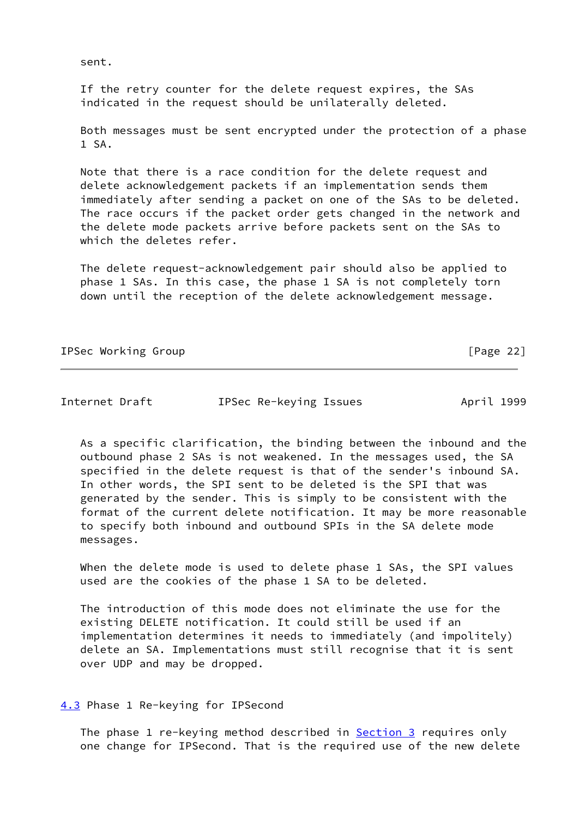sent.

 If the retry counter for the delete request expires, the SAs indicated in the request should be unilaterally deleted.

 Both messages must be sent encrypted under the protection of a phase 1 SA.

 Note that there is a race condition for the delete request and delete acknowledgement packets if an implementation sends them immediately after sending a packet on one of the SAs to be deleted. The race occurs if the packet order gets changed in the network and the delete mode packets arrive before packets sent on the SAs to which the deletes refer.

 The delete request-acknowledgement pair should also be applied to phase 1 SAs. In this case, the phase 1 SA is not completely torn down until the reception of the delete acknowledgement message.

IPSec Working Group **compared in the Community** of the Community of the Community of the Community of the Community of the Community of the Community of the Community of the Community of the Community of the Community of t

Internet Draft IPSec Re-keying Issues April 1999

 As a specific clarification, the binding between the inbound and the outbound phase 2 SAs is not weakened. In the messages used, the SA specified in the delete request is that of the sender's inbound SA. In other words, the SPI sent to be deleted is the SPI that was generated by the sender. This is simply to be consistent with the format of the current delete notification. It may be more reasonable to specify both inbound and outbound SPIs in the SA delete mode messages.

 When the delete mode is used to delete phase 1 SAs, the SPI values used are the cookies of the phase 1 SA to be deleted.

 The introduction of this mode does not eliminate the use for the existing DELETE notification. It could still be used if an implementation determines it needs to immediately (and impolitely) delete an SA. Implementations must still recognise that it is sent over UDP and may be dropped.

<span id="page-24-0"></span>[4.3](#page-24-0) Phase 1 Re-keying for IPSecond

The phase 1 re-keying method described in [Section 3](#page-17-2) requires only one change for IPSecond. That is the required use of the new delete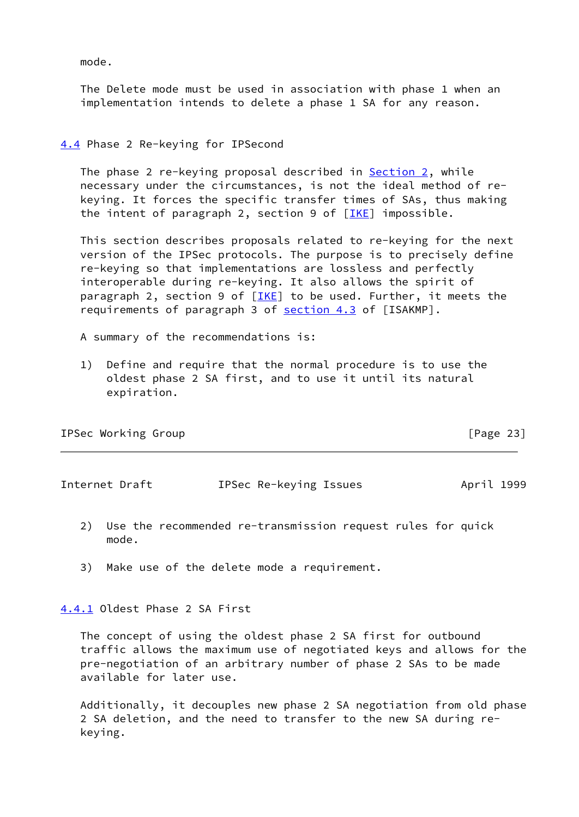mode.

 The Delete mode must be used in association with phase 1 when an implementation intends to delete a phase 1 SA for any reason.

# <span id="page-25-0"></span>[4.4](#page-25-0) Phase 2 Re-keying for IPSecond

The phase 2 re-keying proposal described in [Section 2,](#page-2-2) while necessary under the circumstances, is not the ideal method of re keying. It forces the specific transfer times of SAs, thus making the intent of paragraph 2, section 9 of  $[IKE]$  impossible.

 This section describes proposals related to re-keying for the next version of the IPSec protocols. The purpose is to precisely define re-keying so that implementations are lossless and perfectly interoperable during re-keying. It also allows the spirit of paragraph 2, section 9 of  $[IKE]$  $[IKE]$  $[IKE]$  to be used. Further, it meets the requirements of paragraph 3 of [section 4.3](#page-24-0) of [ISAKMP].

A summary of the recommendations is:

 1) Define and require that the normal procedure is to use the oldest phase 2 SA first, and to use it until its natural expiration.

IPSec Working Group **compared in the Community** of the contract of the contract of the contract of the contract of the contract of the contract of the contract of the contract of the contract of the contract of the contrac

<span id="page-25-2"></span>Internet Draft IPSec Re-keying Issues April 1999

- 2) Use the recommended re-transmission request rules for quick mode.
- 3) Make use of the delete mode a requirement.

<span id="page-25-1"></span>[4.4.1](#page-25-1) Oldest Phase 2 SA First

 The concept of using the oldest phase 2 SA first for outbound traffic allows the maximum use of negotiated keys and allows for the pre-negotiation of an arbitrary number of phase 2 SAs to be made available for later use.

 Additionally, it decouples new phase 2 SA negotiation from old phase 2 SA deletion, and the need to transfer to the new SA during re keying.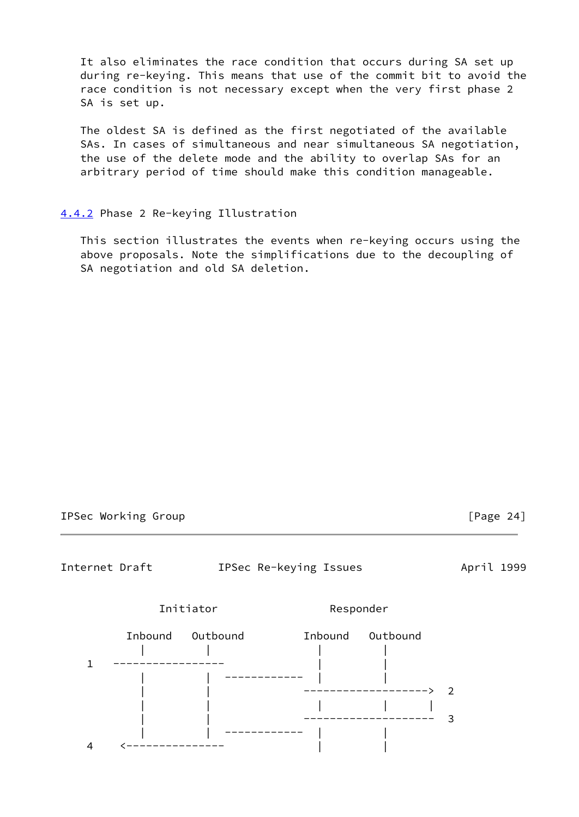It also eliminates the race condition that occurs during SA set up during re-keying. This means that use of the commit bit to avoid the race condition is not necessary except when the very first phase 2 SA is set up.

 The oldest SA is defined as the first negotiated of the available SAs. In cases of simultaneous and near simultaneous SA negotiation, the use of the delete mode and the ability to overlap SAs for an arbitrary period of time should make this condition manageable.

## <span id="page-26-0"></span>[4.4.2](#page-26-0) Phase 2 Re-keying Illustration

 This section illustrates the events when re-keying occurs using the above proposals. Note the simplifications due to the decoupling of SA negotiation and old SA deletion.

IPSec Working Group **compared in the Community** of the IPA control of the IPage 24]

<span id="page-26-1"></span>Internet Draft **IPSec Re-keying Issues** April 1999



Initiator Responder

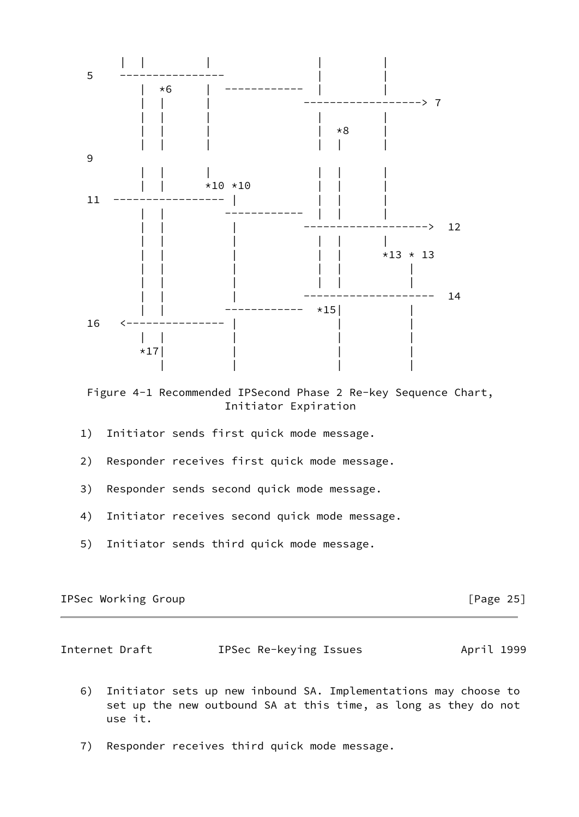

 Figure 4-1 Recommended IPSecond Phase 2 Re-key Sequence Chart, Initiator Expiration

- 1) Initiator sends first quick mode message.
- 2) Responder receives first quick mode message.
- 3) Responder sends second quick mode message.
- 4) Initiator receives second quick mode message.
- 5) Initiator sends third quick mode message.

| IPSec Working Group |  |  |  |
|---------------------|--|--|--|
|---------------------|--|--|--|

 $[Page 25]$ 

<span id="page-27-0"></span>

| Internet Draft | IPSec Re-keying Issues | April 1999 |
|----------------|------------------------|------------|
|----------------|------------------------|------------|

- 6) Initiator sets up new inbound SA. Implementations may choose to set up the new outbound SA at this time, as long as they do not use it.
- 7) Responder receives third quick mode message.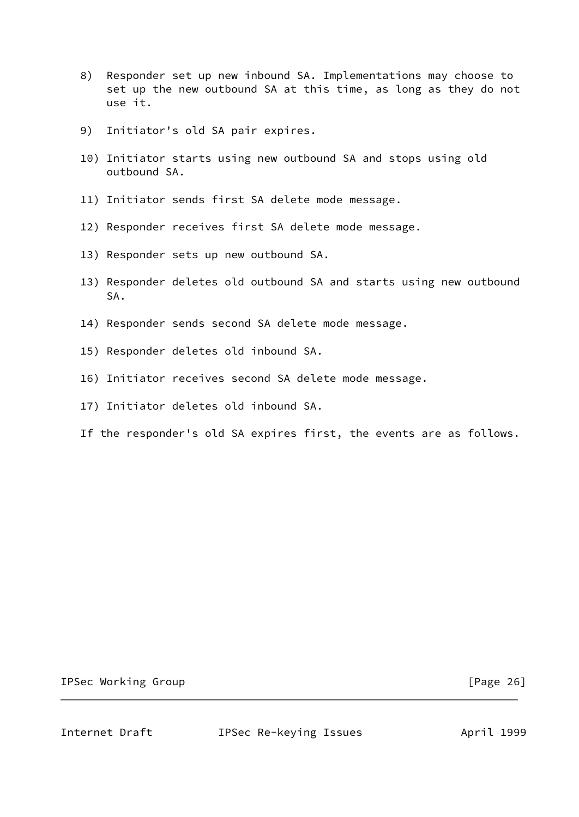- 8) Responder set up new inbound SA. Implementations may choose to set up the new outbound SA at this time, as long as they do not use it.
- 9) Initiator's old SA pair expires.
- 10) Initiator starts using new outbound SA and stops using old outbound SA.
- 11) Initiator sends first SA delete mode message.
- 12) Responder receives first SA delete mode message.
- 13) Responder sets up new outbound SA.
- 13) Responder deletes old outbound SA and starts using new outbound SA.
- 14) Responder sends second SA delete mode message.
- 15) Responder deletes old inbound SA.
- 16) Initiator receives second SA delete mode message.
- 17) Initiator deletes old inbound SA.
- If the responder's old SA expires first, the events are as follows.

IPSec Working Group **compared in the Community** control of the control of the control of  $[Page 26]$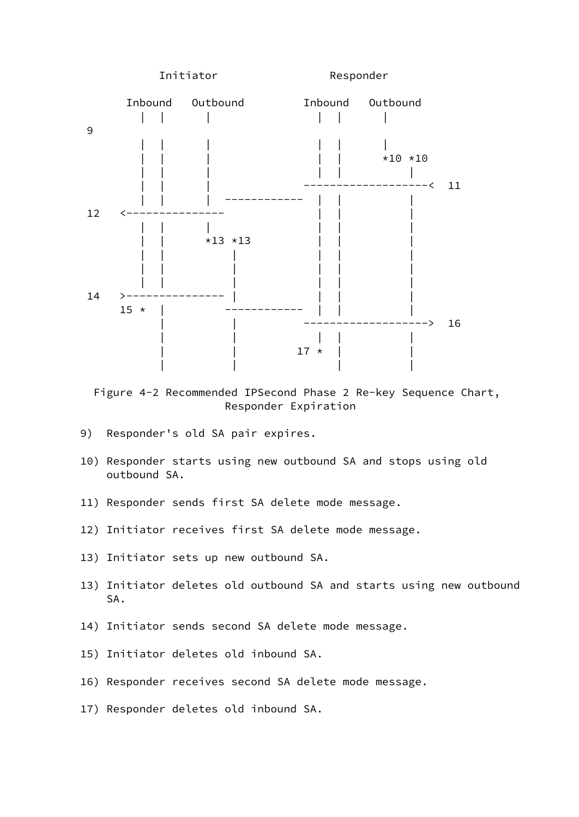

 Figure 4-2 Recommended IPSecond Phase 2 Re-key Sequence Chart, Responder Expiration

- 9) Responder's old SA pair expires.
- 10) Responder starts using new outbound SA and stops using old outbound SA.
- 11) Responder sends first SA delete mode message.
- 12) Initiator receives first SA delete mode message.
- 13) Initiator sets up new outbound SA.
- 13) Initiator deletes old outbound SA and starts using new outbound SA.
- 14) Initiator sends second SA delete mode message.
- 15) Initiator deletes old inbound SA.
- 16) Responder receives second SA delete mode message.
- 17) Responder deletes old inbound SA.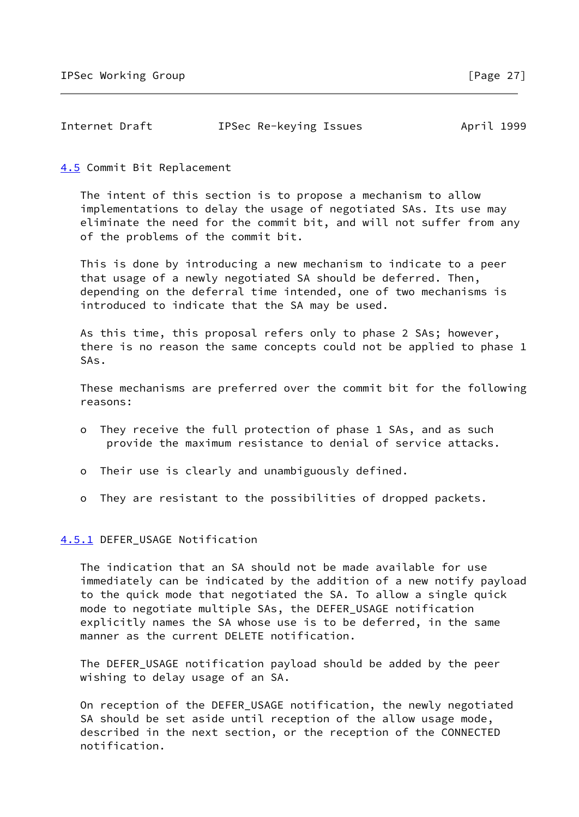| Internet Draft | IPSec Re-keying Issues | April 1999 |
|----------------|------------------------|------------|
|                |                        |            |

<span id="page-30-0"></span>[4.5](#page-30-0) Commit Bit Replacement

 The intent of this section is to propose a mechanism to allow implementations to delay the usage of negotiated SAs. Its use may eliminate the need for the commit bit, and will not suffer from any of the problems of the commit bit.

 This is done by introducing a new mechanism to indicate to a peer that usage of a newly negotiated SA should be deferred. Then, depending on the deferral time intended, one of two mechanisms is introduced to indicate that the SA may be used.

 As this time, this proposal refers only to phase 2 SAs; however, there is no reason the same concepts could not be applied to phase 1 SAs.

 These mechanisms are preferred over the commit bit for the following reasons:

- o They receive the full protection of phase 1 SAs, and as such provide the maximum resistance to denial of service attacks.
- o Their use is clearly and unambiguously defined.
- o They are resistant to the possibilities of dropped packets.

<span id="page-30-1"></span>[4.5.1](#page-30-1) DEFER\_USAGE Notification

 The indication that an SA should not be made available for use immediately can be indicated by the addition of a new notify payload to the quick mode that negotiated the SA. To allow a single quick mode to negotiate multiple SAs, the DEFER\_USAGE notification explicitly names the SA whose use is to be deferred, in the same manner as the current DELETE notification.

 The DEFER\_USAGE notification payload should be added by the peer wishing to delay usage of an SA.

 On reception of the DEFER\_USAGE notification, the newly negotiated SA should be set aside until reception of the allow usage mode, described in the next section, or the reception of the CONNECTED notification.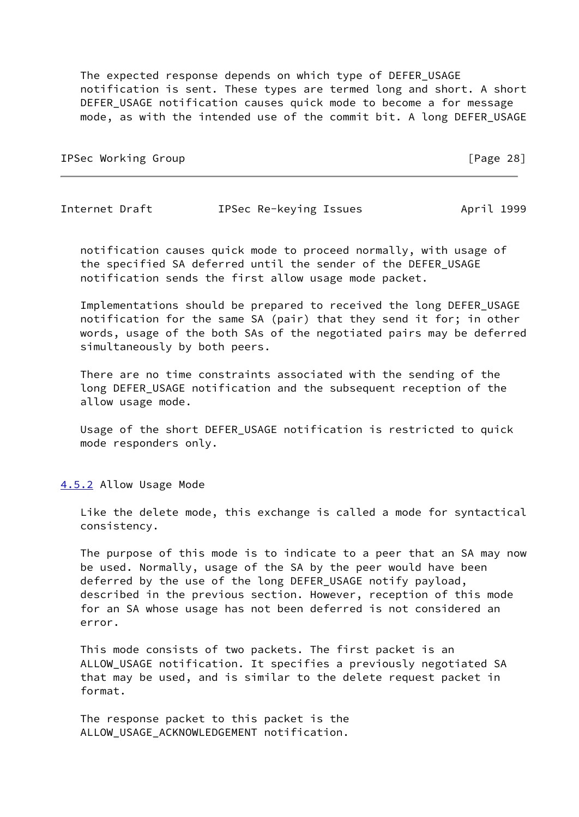The expected response depends on which type of DEFER\_USAGE notification is sent. These types are termed long and short. A short DEFER\_USAGE notification causes quick mode to become a for message mode, as with the intended use of the commit bit. A long DEFER\_USAGE

IPSec Working Group **compared in the Community** of the IPSec Working Group **[Page 28]** 

Internet Draft **IPSec Re-keying Issues** April 1999

 notification causes quick mode to proceed normally, with usage of the specified SA deferred until the sender of the DEFER\_USAGE notification sends the first allow usage mode packet.

 Implementations should be prepared to received the long DEFER\_USAGE notification for the same SA (pair) that they send it for; in other words, usage of the both SAs of the negotiated pairs may be deferred simultaneously by both peers.

 There are no time constraints associated with the sending of the long DEFER\_USAGE notification and the subsequent reception of the allow usage mode.

 Usage of the short DEFER\_USAGE notification is restricted to quick mode responders only.

<span id="page-31-0"></span>[4.5.2](#page-31-0) Allow Usage Mode

 Like the delete mode, this exchange is called a mode for syntactical consistency.

 The purpose of this mode is to indicate to a peer that an SA may now be used. Normally, usage of the SA by the peer would have been deferred by the use of the long DEFER\_USAGE notify payload, described in the previous section. However, reception of this mode for an SA whose usage has not been deferred is not considered an error.

 This mode consists of two packets. The first packet is an ALLOW\_USAGE notification. It specifies a previously negotiated SA that may be used, and is similar to the delete request packet in format.

 The response packet to this packet is the ALLOW USAGE ACKNOWLEDGEMENT notification.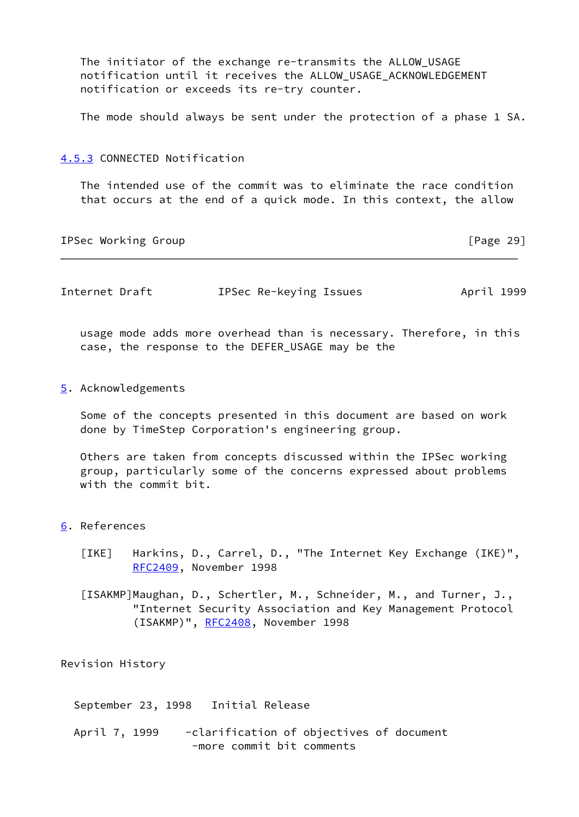The initiator of the exchange re-transmits the ALLOW\_USAGE notification until it receives the ALLOW\_USAGE\_ACKNOWLEDGEMENT notification or exceeds its re-try counter.

The mode should always be sent under the protection of a phase 1 SA.

#### <span id="page-32-0"></span>[4.5.3](#page-32-0) CONNECTED Notification

 The intended use of the commit was to eliminate the race condition that occurs at the end of a quick mode. In this context, the allow

IPSec Working Group [Page 29]

Internet Draft **IPSec Re-keying Issues** April 1999

 usage mode adds more overhead than is necessary. Therefore, in this case, the response to the DEFER\_USAGE may be the

<span id="page-32-1"></span>[5](#page-32-1). Acknowledgements

 Some of the concepts presented in this document are based on work done by TimeStep Corporation's engineering group.

 Others are taken from concepts discussed within the IPSec working group, particularly some of the concerns expressed about problems with the commit bit.

- <span id="page-32-3"></span><span id="page-32-2"></span>[6](#page-32-2). References
	- [IKE] Harkins, D., Carrel, D., "The Internet Key Exchange (IKE)", [RFC2409](https://datatracker.ietf.org/doc/pdf/rfc2409), November 1998
	- [ISAKMP]Maughan, D., Schertler, M., Schneider, M., and Turner, J., "Internet Security Association and Key Management Protocol (ISAKMP)", [RFC2408](https://datatracker.ietf.org/doc/pdf/rfc2408), November 1998

Revision History

September 23, 1998 Initial Release

April 7, 1999 - clarification of objectives of document -more commit bit comments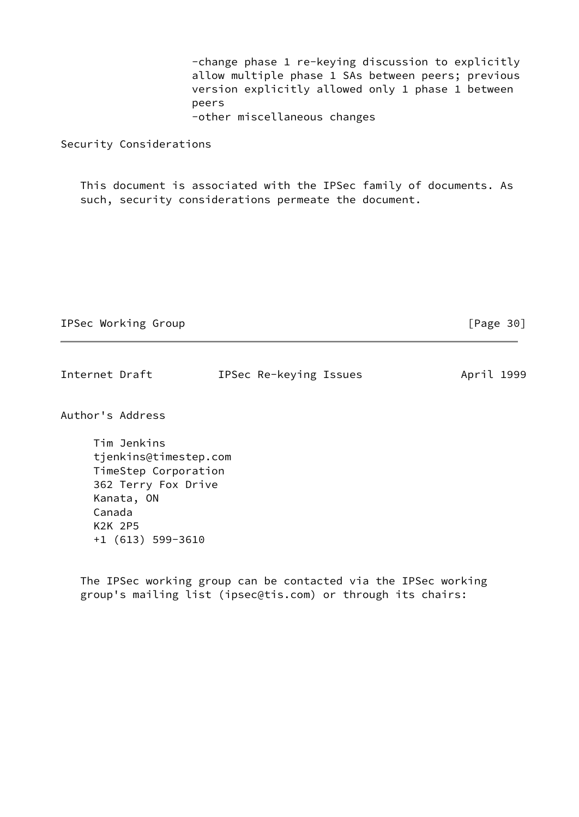-change phase 1 re-keying discussion to explicitly allow multiple phase 1 SAs between peers; previous version explicitly allowed only 1 phase 1 between peers -other miscellaneous changes

Security Considerations

 This document is associated with the IPSec family of documents. As such, security considerations permeate the document.

IPSec Working Group **IPSec Working** Croup

| Internet Draft | IPSec Re-keying Issues | April 1999 |  |
|----------------|------------------------|------------|--|
|                |                        |            |  |

Author's Address

 Tim Jenkins tjenkins@timestep.com TimeStep Corporation 362 Terry Fox Drive Kanata, ON Canada K2K 2P5 +1 (613) 599-3610

 The IPSec working group can be contacted via the IPSec working group's mailing list (ipsec@tis.com) or through its chairs: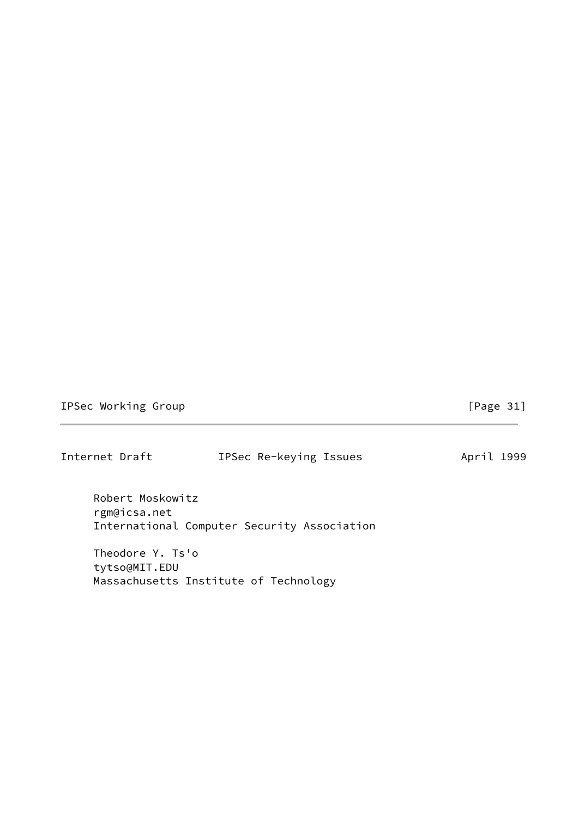IPSec Working Group **compared in the Community** of the Legendru entries of the Legendru entries of the Legendru entries of the Legendru entries of the Legendru entries of the Legendru entries of the Legendru entries of the

Internet Draft **IPSec Re-keying Issues** April 1999 Robert Moskowitz rgm@icsa.net International Computer Security Association

 Theodore Y. Ts'o tytso@MIT.EDU Massachusetts Institute of Technology